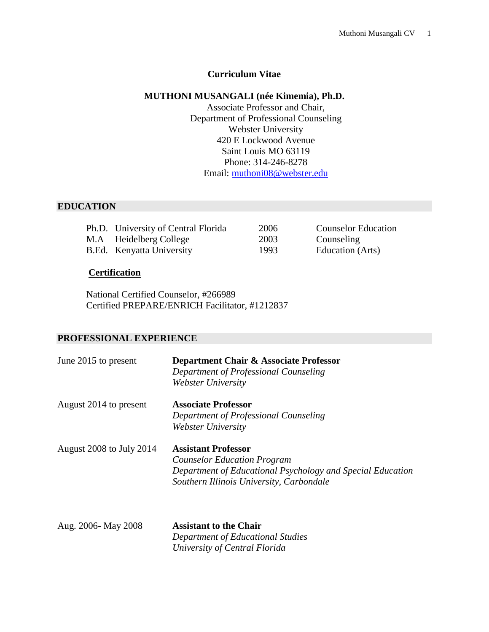#### **Curriculum Vitae**

#### **MUTHONI MUSANGALI (née Kimemia), Ph.D.**

Associate Professor and Chair, Department of Professional Counseling Webster University 420 E Lockwood Avenue Saint Louis MO 63119 Phone: 314-246-8278 Email: [muthoni08@webster.edu](mailto:muthoni08@webster.edu)

#### **EDUCATION**

| Ph.D. University of Central Florida | 2006 | <b>Counselor Education</b> |
|-------------------------------------|------|----------------------------|
| M.A Heidelberg College              | 2003 | Counseling                 |
| B.Ed. Kenyatta University           | 1993 | Education (Arts)           |

#### **Certification**

National Certified Counselor, #266989 Certified PREPARE/ENRICH Facilitator, #1212837

#### **PROFESSIONAL EXPERIENCE**

| June 2015 to present     | Department Chair & Associate Professor<br>Department of Professional Counseling<br>Webster University                                                                      |
|--------------------------|----------------------------------------------------------------------------------------------------------------------------------------------------------------------------|
| August 2014 to present   | <b>Associate Professor</b><br>Department of Professional Counseling<br>Webster University                                                                                  |
| August 2008 to July 2014 | <b>Assistant Professor</b><br><b>Counselor Education Program</b><br>Department of Educational Psychology and Special Education<br>Southern Illinois University, Carbondale |

Aug. 2006- May 2008 **Assistant to the Chair** *Department of Educational Studies University of Central Florida*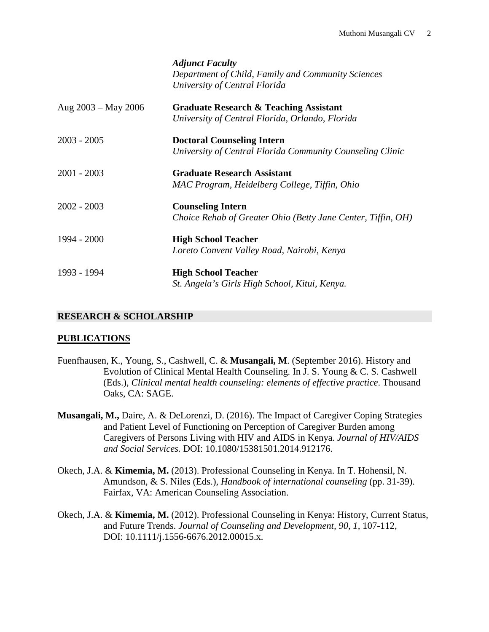|                       | <b>Adjunct Faculty</b><br>Department of Child, Family and Community Sciences<br>University of Central Florida |
|-----------------------|---------------------------------------------------------------------------------------------------------------|
| Aug $2003 - May 2006$ | <b>Graduate Research &amp; Teaching Assistant</b>                                                             |
|                       | University of Central Florida, Orlando, Florida                                                               |
| $2003 - 2005$         | <b>Doctoral Counseling Intern</b>                                                                             |
|                       | University of Central Florida Community Counseling Clinic                                                     |
| $2001 - 2003$         | <b>Graduate Research Assistant</b>                                                                            |
|                       | MAC Program, Heidelberg College, Tiffin, Ohio                                                                 |
| $2002 - 2003$         | <b>Counseling Intern</b>                                                                                      |
|                       | Choice Rehab of Greater Ohio (Betty Jane Center, Tiffin, OH)                                                  |
| $1994 - 2000$         | <b>High School Teacher</b>                                                                                    |
|                       | Loreto Convent Valley Road, Nairobi, Kenya                                                                    |
| 1993 - 1994           | <b>High School Teacher</b>                                                                                    |
|                       | St. Angela's Girls High School, Kitui, Kenya.                                                                 |

## **RESEARCH & SCHOLARSHIP**

#### **PUBLICATIONS**

- Fuenfhausen, K., Young, S., Cashwell, C. & **Musangali, M**. (September 2016). History and Evolution of Clinical Mental Health Counseling. In J. S. Young & C. S. Cashwell (Eds.), *Clinical mental health counseling: elements of effective practice*. Thousand Oaks, CA: SAGE.
- **Musangali, M.,** Daire, A. & DeLorenzi, D. (2016). The Impact of Caregiver Coping Strategies and Patient Level of Functioning on Perception of Caregiver Burden among Caregivers of Persons Living with HIV and AIDS in Kenya. *Journal of HIV/AIDS and Social Services.* DOI: 10.1080/15381501.2014.912176.
- Okech, J.A. & **Kimemia, M.** (2013). Professional Counseling in Kenya. In T. Hohensil, N. Amundson, & S. Niles (Eds.), *Handbook of international counseling* (pp. 31-39). Fairfax, VA: American Counseling Association.
- Okech, J.A. & **Kimemia, M.** (2012). Professional Counseling in Kenya: History, Current Status, and Future Trends. *Journal of Counseling and Development, 90, 1,* 107-112, DOI: 10.1111/j.1556-6676.2012.00015.x*.*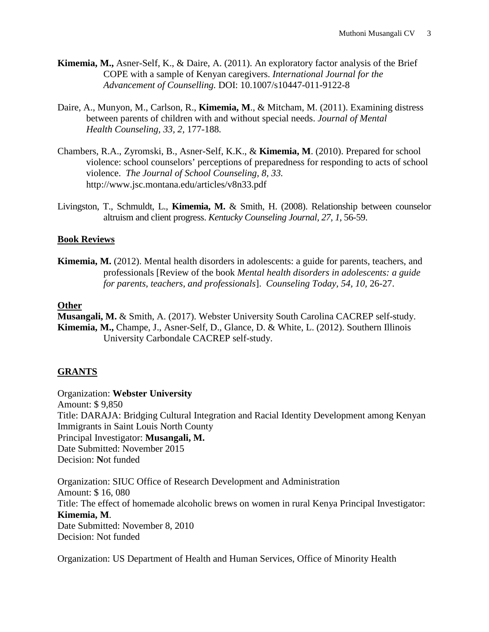- **Kimemia, M.,** Asner-Self, K., & Daire, A. (2011). An exploratory factor analysis of the Brief COPE with a sample of Kenyan caregivers. *International Journal for the Advancement of Counselling.* DOI: 10.1007/s10447-011-9122-8
- Daire, A., Munyon, M., Carlson, R., **Kimemia, M**., & Mitcham, M. (2011). Examining distress between parents of children with and without special needs. *Journal of Mental Health Counseling, 33, 2,* 177-188*.*
- Chambers, R.A., Zyromski, B., Asner-Self, K.K., & **Kimemia, M**. (2010). Prepared for school violence: school counselors' perceptions of preparedness for responding to acts of school violence. *The Journal of School Counseling, 8, 33.*  http://www.jsc.montana.edu/articles/v8n33.pdf
- Livingston, T., Schmuldt, L., **Kimemia, M.** & Smith, H. (2008). Relationship between counselor altruism and client progress. *Kentucky Counseling Journal, 27, 1*, 56-59.

## **Book Reviews**

**Kimemia, M.** (2012). Mental health disorders in adolescents: a guide for parents, teachers, and professionals [Review of the book *Mental health disorders in adolescents: a guide for parents, teachers, and professionals*]. *Counseling Today, 54, 10,* 26-27.

#### **Other**

**Musangali, M.** & Smith, A. (2017). Webster University South Carolina CACREP self-study. **Kimemia, M.,** Champe, J., Asner-Self, D., Glance, D. & White, L. (2012). Southern Illinois University Carbondale CACREP self-study.

# **GRANTS**

Organization: **Webster University** Amount: \$ 9,850 Title: DARAJA: Bridging Cultural Integration and Racial Identity Development among Kenyan Immigrants in Saint Louis North County Principal Investigator: **Musangali, M.** Date Submitted: November 2015 Decision: **N**ot funded

Organization: SIUC Office of Research Development and Administration Amount: \$ 16, 080 Title: The effect of homemade alcoholic brews on women in rural Kenya Principal Investigator: **Kimemia, M**. Date Submitted: November 8, 2010 Decision: Not funded

Organization: US Department of Health and Human Services, Office of Minority Health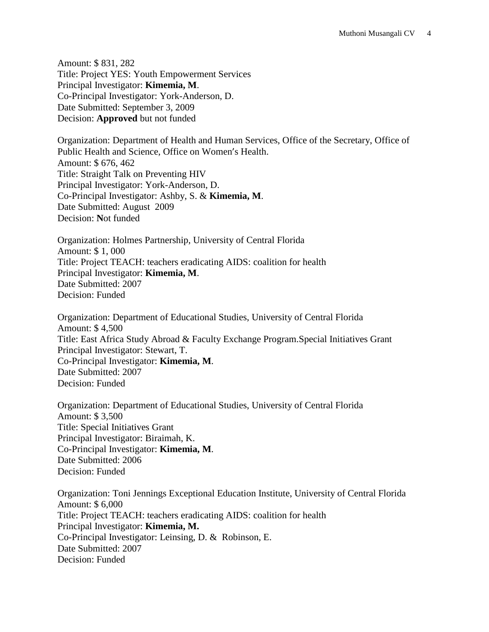Amount: \$ 831, 282 Title: Project YES: Youth Empowerment Services Principal Investigator: **Kimemia, M**. Co-Principal Investigator: York-Anderson, D. Date Submitted: September 3, 2009 Decision: **Approved** but not funded

Organization: Department of Health and Human Services, Office of the Secretary, Office of Public Health and Science, Office on Women's Health. Amount: \$ 676, 462 Title: Straight Talk on Preventing HIV Principal Investigator: York-Anderson, D. Co-Principal Investigator: Ashby, S. & **Kimemia, M**. Date Submitted: August 2009 Decision: **N**ot funded

Organization: Holmes Partnership, University of Central Florida Amount: \$ 1, 000 Title: Project TEACH: teachers eradicating AIDS: coalition for health Principal Investigator: **Kimemia, M**. Date Submitted: 2007 Decision: Funded

Organization: Department of Educational Studies, University of Central Florida Amount: \$ 4,500 Title: East Africa Study Abroad & Faculty Exchange Program.Special Initiatives Grant Principal Investigator: Stewart, T. Co-Principal Investigator: **Kimemia, M**. Date Submitted: 2007 Decision: Funded

Organization: Department of Educational Studies, University of Central Florida Amount: \$ 3,500 Title: Special Initiatives Grant Principal Investigator: Biraimah, K. Co-Principal Investigator: **Kimemia, M**. Date Submitted: 2006 Decision: Funded

Organization: Toni Jennings Exceptional Education Institute, University of Central Florida Amount: \$ 6,000 Title: Project TEACH: teachers eradicating AIDS: coalition for health Principal Investigator: **Kimemia, M.** Co-Principal Investigator: Leinsing, D. & Robinson, E. Date Submitted: 2007 Decision: Funded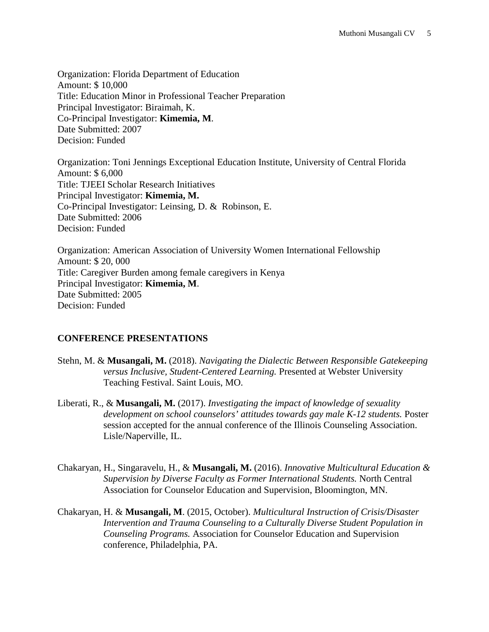Organization: Florida Department of Education Amount: \$ 10,000 Title: Education Minor in Professional Teacher Preparation Principal Investigator: Biraimah, K. Co-Principal Investigator: **Kimemia, M**. Date Submitted: 2007 Decision: Funded

Organization: Toni Jennings Exceptional Education Institute, University of Central Florida Amount: \$ 6,000 Title: TJEEI Scholar Research Initiatives Principal Investigator: **Kimemia, M.** Co-Principal Investigator: Leinsing, D. & Robinson, E. Date Submitted: 2006 Decision: Funded

Organization: American Association of University Women International Fellowship Amount: \$ 20, 000 Title: Caregiver Burden among female caregivers in Kenya Principal Investigator: **Kimemia, M**. Date Submitted: 2005 Decision: Funded

# **CONFERENCE PRESENTATIONS**

- Stehn, M. & **Musangali, M.** (2018). *Navigating the Dialectic Between Responsible Gatekeeping versus Inclusive, Student-Centered Learning.* Presented at Webster University Teaching Festival. Saint Louis, MO.
- Liberati, R., & **Musangali, M.** (2017). *Investigating the impact of knowledge of sexuality development on school counselors' attitudes towards gay male K-12 students.* Poster session accepted for the annual conference of the Illinois Counseling Association. Lisle/Naperville, IL.
- Chakaryan, H., Singaravelu, H., & **Musangali, M.** (2016). *Innovative Multicultural Education & Supervision by Diverse Faculty as Former International Students.* North Central Association for Counselor Education and Supervision, Bloomington, MN.
- Chakaryan, H. & **Musangali, M**. (2015, October). *Multicultural Instruction of Crisis/Disaster Intervention and Trauma Counseling to a Culturally Diverse Student Population in Counseling Programs.* Association for Counselor Education and Supervision conference, Philadelphia, PA.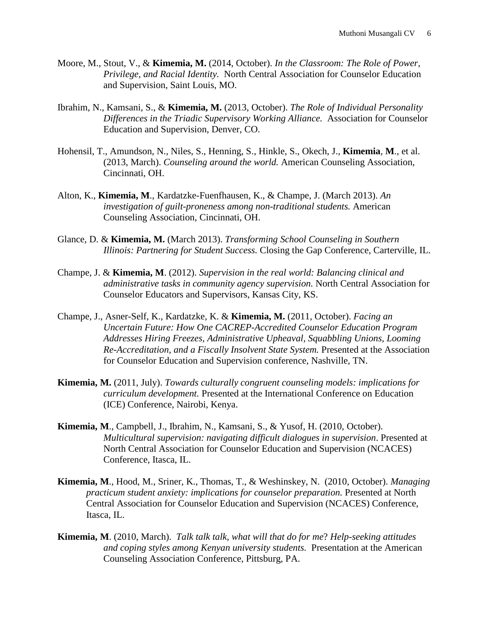- Moore, M., Stout, V., & **Kimemia, M.** (2014, October). *In the Classroom: The Role of Power, Privilege, and Racial Identity.* North Central Association for Counselor Education and Supervision, Saint Louis, MO.
- Ibrahim, N., Kamsani, S., & **Kimemia, M.** (2013, October). *The Role of Individual Personality Differences in the Triadic Supervisory Working Alliance.* Association for Counselor Education and Supervision, Denver, CO.
- Hohensil, T., Amundson, N., Niles, S., Henning, S., Hinkle, S., Okech, J., **Kimemia**, **M**., et al. (2013, March). *Counseling around the world.* American Counseling Association, Cincinnati, OH.
- Alton, K., **Kimemia, M**., Kardatzke-Fuenfhausen, K., & Champe, J. (March 2013). *An investigation of guilt-proneness among non-traditional students.* American Counseling Association, Cincinnati, OH.
- Glance, D. & **Kimemia, M.** (March 2013). *Transforming School Counseling in Southern Illinois: Partnering for Student Success.* Closing the Gap Conference, Carterville, IL.
- Champe, J. & **Kimemia, M**. (2012). *Supervision in the real world: Balancing clinical and administrative tasks in community agency supervision.* North Central Association for Counselor Educators and Supervisors, Kansas City, KS.
- Champe, J., Asner-Self, K., Kardatzke, K. & **Kimemia, M.** (2011, October). *Facing an Uncertain Future: How One CACREP-Accredited Counselor Education Program Addresses Hiring Freezes, Administrative Upheaval, Squabbling Unions, Looming Re-Accreditation, and a Fiscally Insolvent State System.* Presented at the Association for Counselor Education and Supervision conference, Nashville, TN.
- **Kimemia, M.** (2011, July). *Towards culturally congruent counseling models: implications for curriculum development.* Presented at the International Conference on Education (ICE) Conference, Nairobi, Kenya.
- **Kimemia, M**., Campbell, J., Ibrahim, N., Kamsani, S., & Yusof, H. (2010, October). *Multicultural supervision: navigating difficult dialogues in supervision*. Presented at North Central Association for Counselor Education and Supervision (NCACES) Conference, Itasca, IL.
- **Kimemia, M**., Hood, M., Sriner, K., Thomas, T., & Weshinskey, N. (2010, October). *Managing practicum student anxiety: implications for counselor preparation.* Presented at North Central Association for Counselor Education and Supervision (NCACES) Conference, Itasca, IL.
- **Kimemia, M**. (2010, March). *Talk talk talk, what will that do for me*? *Help-seeking attitudes and coping styles among Kenyan university students.* Presentation at the American Counseling Association Conference, Pittsburg, PA.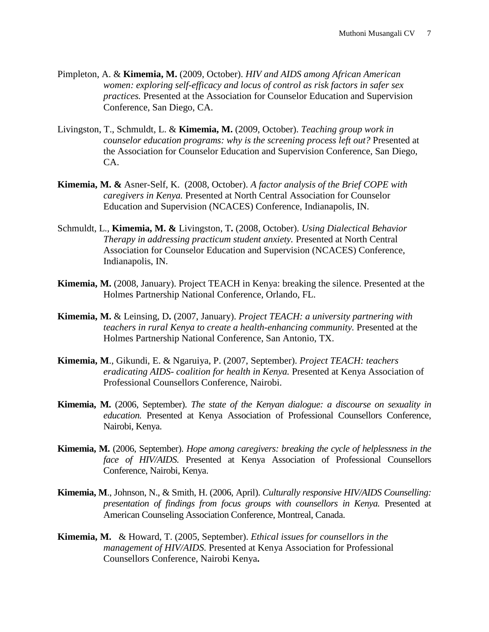- Pimpleton, A. & **Kimemia, M.** (2009, October). *HIV and AIDS among African American women: exploring self-efficacy and locus of control as risk factors in safer sex practices.* Presented at the Association for Counselor Education and Supervision Conference, San Diego, CA.
- Livingston, T., Schmuldt, L. & **Kimemia, M.** (2009, October). *Teaching group work in counselor education programs: why is the screening process left out?* Presented at the Association for Counselor Education and Supervision Conference, San Diego, CA.
- **Kimemia, M. &** Asner-Self, K. (2008, October). *A factor analysis of the Brief COPE with caregivers in Kenya.* Presented at North Central Association for Counselor Education and Supervision (NCACES) Conference, Indianapolis, IN.
- Schmuldt, L., **Kimemia, M. &** Livingston, T**.** (2008, October). *Using Dialectical Behavior Therapy in addressing practicum student anxiety.* Presented at North Central Association for Counselor Education and Supervision (NCACES) Conference, Indianapolis, IN.
- **Kimemia, M.** (2008, January). Project TEACH in Kenya: breaking the silence. Presented at the Holmes Partnership National Conference, Orlando, FL.
- **Kimemia, M.** & Leinsing, D**.** (2007, January). *Project TEACH: a university partnering with teachers in rural Kenya to create a health-enhancing community.* Presented at the Holmes Partnership National Conference, San Antonio, TX.
- **Kimemia, M**., Gikundi, E. & Ngaruiya, P. (2007, September). *Project TEACH: teachers eradicating AIDS- coalition for health in Kenya.* Presented at Kenya Association of Professional Counsellors Conference, Nairobi.
- **Kimemia, M.** (2006, September). *The state of the Kenyan dialogue: a discourse on sexuality in education.* Presented at Kenya Association of Professional Counsellors Conference, Nairobi, Kenya.
- **Kimemia, M.** (2006, September). *Hope among caregivers: breaking the cycle of helplessness in the face of HIV/AIDS.* Presented at Kenya Association of Professional Counsellors Conference, Nairobi, Kenya.
- **Kimemia, M**., Johnson, N., & Smith, H. (2006, April). *Culturally responsive HIV/AIDS Counselling: presentation of findings from focus groups with counsellors in Kenya.* Presented at American Counseling Association Conference, Montreal, Canada.
- **Kimemia, M.** & Howard, T. (2005, September). *Ethical issues for counsellors in the management of HIV/AIDS.* Presented at Kenya Association for Professional Counsellors Conference, Nairobi Kenya**.**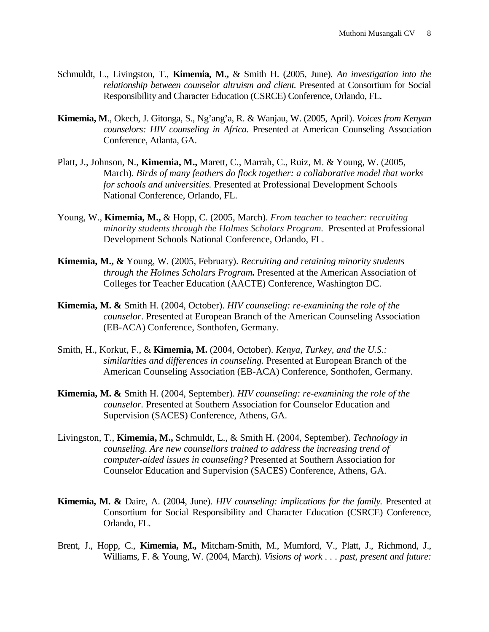- Schmuldt, L., Livingston, T., **Kimemia, M.,** & Smith H. (2005, June). *An investigation into the relationship between counselor altruism and client.* Presented at Consortium for Social Responsibility and Character Education (CSRCE) Conference, Orlando, FL.
- **Kimemia, M**., Okech, J. Gitonga, S., Ng'ang'a, R. & Wanjau, W. (2005, April). *Voices from Kenyan counselors: HIV counseling in Africa.* Presented at American Counseling Association Conference, Atlanta, GA.
- Platt, J., Johnson, N., **Kimemia, M.,** Marett, C., Marrah, C., Ruiz, M. & Young, W. (2005, March). *Birds of many feathers do flock together: a collaborative model that works for schools and universities.* Presented at Professional Development Schools National Conference, Orlando, FL.
- Young, W., **Kimemia, M.,** & Hopp, C. (2005, March). *From teacher to teacher: recruiting minority students through the Holmes Scholars Program.* Presented at Professional Development Schools National Conference, Orlando, FL.
- **Kimemia, M., &** Young, W. (2005, February). *Recruiting and retaining minority students through the Holmes Scholars Program.* Presented at the American Association of Colleges for Teacher Education (AACTE) Conference, Washington DC.
- **Kimemia, M. &** Smith H. (2004, October). *HIV counseling: re-examining the role of the counselor*. Presented at European Branch of the American Counseling Association (EB-ACA) Conference, Sonthofen, Germany.
- Smith, H., Korkut, F., & **Kimemia, M.** (2004, October). *Kenya, Turkey, and the U.S.: similarities and differences in counseling.* Presented at European Branch of the American Counseling Association (EB-ACA) Conference, Sonthofen, Germany.
- **Kimemia, M. &** Smith H. (2004, September). *HIV counseling: re-examining the role of the counselor.* Presented at Southern Association for Counselor Education and Supervision (SACES) Conference, Athens, GA.
- Livingston, T., **Kimemia, M.,** Schmuldt, L., & Smith H. (2004, September). *Technology in counseling. Are new counsellors trained to address the increasing trend of computer-aided issues in counseling?* Presented at Southern Association for Counselor Education and Supervision (SACES) Conference, Athens, GA.
- **Kimemia, M. &** Daire, A. (2004, June). *HIV counseling: implications for the family.* Presented at Consortium for Social Responsibility and Character Education (CSRCE) Conference, Orlando, FL.
- Brent, J., Hopp, C., **Kimemia, M.,** Mitcham-Smith, M., Mumford, V., Platt, J., Richmond, J., Williams, F. & Young, W. (2004, March). *Visions of work . . . past, present and future:*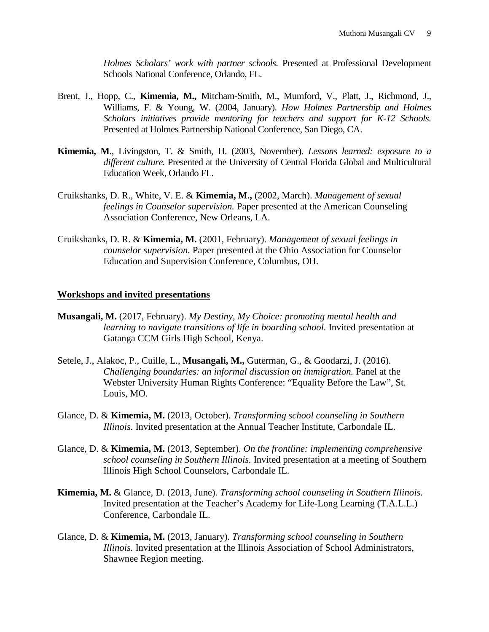*Holmes Scholars' work with partner schools.* Presented at Professional Development Schools National Conference, Orlando, FL.

- Brent, J., Hopp, C., **Kimemia, M.,** Mitcham-Smith, M., Mumford, V., Platt, J., Richmond, J., Williams, F. & Young, W. (2004, January). *How Holmes Partnership and Holmes Scholars initiatives provide mentoring for teachers and support for K-12 Schools.* Presented at Holmes Partnership National Conference, San Diego, CA.
- **Kimemia, M**., Livingston, T. & Smith, H. (2003, November). *Lessons learned: exposure to a different culture.* Presented at the University of Central Florida Global and Multicultural Education Week, Orlando FL.
- Cruikshanks, D. R., White, V. E. & **Kimemia, M.,** (2002, March). *Management of sexual feelings in Counselor supervision.* Paper presented at the American Counseling Association Conference, New Orleans, LA.
- Cruikshanks, D. R. & **Kimemia, M.** (2001, February). *Management of sexual feelings in counselor supervision.* Paper presented at the Ohio Association for Counselor Education and Supervision Conference, Columbus, OH.

#### **Workshops and invited presentations**

- **Musangali, M.** (2017, February). *My Destiny, My Choice: promoting mental health and learning to navigate transitions of life in boarding school.* Invited presentation at Gatanga CCM Girls High School, Kenya.
- Setele, J., Alakoc, P., Cuille, L., **Musangali, M.,** Guterman, G., & Goodarzi, J. (2016). *Challenging boundaries: an informal discussion on immigration.* Panel at the Webster University Human Rights Conference: "Equality Before the Law", St. Louis, MO.
- Glance, D. & **Kimemia, M.** (2013, October). *Transforming school counseling in Southern Illinois.* Invited presentation at the Annual Teacher Institute, Carbondale IL.
- Glance, D. & **Kimemia, M.** (2013, September). *On the frontline: implementing comprehensive school counseling in Southern Illinois.* Invited presentation at a meeting of Southern Illinois High School Counselors, Carbondale IL.
- **Kimemia, M.** & Glance, D. (2013, June). *Transforming school counseling in Southern Illinois.*  Invited presentation at the Teacher's Academy for Life-Long Learning (T.A.L.L.) Conference, Carbondale IL.
- Glance, D. & **Kimemia, M.** (2013, January). *Transforming school counseling in Southern Illinois.* Invited presentation at the Illinois Association of School Administrators, Shawnee Region meeting.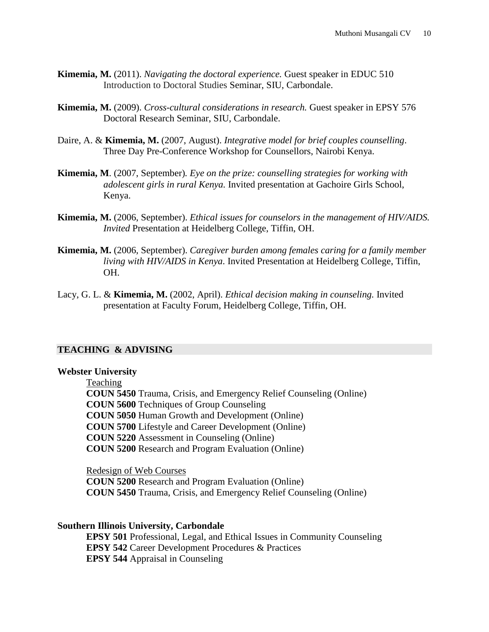- **Kimemia, M.** (2011). *Navigating the doctoral experience.* Guest speaker in EDUC 510 Introduction to Doctoral Studies Seminar, SIU, Carbondale.
- **Kimemia, M.** (2009). *Cross-cultural considerations in research.* Guest speaker in EPSY 576 Doctoral Research Seminar, SIU, Carbondale.
- Daire, A. & **Kimemia, M.** (2007, August). *Integrative model for brief couples counselling*. Three Day Pre-Conference Workshop for Counsellors, Nairobi Kenya.
- **Kimemia, M**. (2007, September)*. Eye on the prize: counselling strategies for working with adolescent girls in rural Kenya.* Invited presentation at Gachoire Girls School, Kenya.
- **Kimemia, M.** (2006, September). *Ethical issues for counselors in the management of HIV/AIDS. Invited* Presentation at Heidelberg College, Tiffin, OH.
- **Kimemia, M.** (2006, September). *Caregiver burden among females caring for a family member living with HIV/AIDS in Kenya*. Invited Presentation at Heidelberg College, Tiffin, OH.
- Lacy, G. L. & **Kimemia, M.** (2002, April). *Ethical decision making in counseling.* Invited presentation at Faculty Forum, Heidelberg College, Tiffin, OH.

#### **TEACHING & ADVISING**

#### **Webster University**

Teaching

**COUN 5450** Trauma, Crisis, and Emergency Relief Counseling (Online) **COUN 5600** Techniques of Group Counseling **COUN 5050** Human Growth and Development (Online) **COUN 5700** Lifestyle and Career Development (Online) **COUN 5220** Assessment in Counseling (Online) **COUN 5200** Research and Program Evaluation (Online)

Redesign of Web Courses **COUN 5200** Research and Program Evaluation (Online) **COUN 5450** Trauma, Crisis, and Emergency Relief Counseling (Online)

#### **Southern Illinois University, Carbondale**

**EPSY 501** Professional, Legal, and Ethical Issues in Community Counseling **EPSY 542** Career Development Procedures & Practices **EPSY 544** Appraisal in Counseling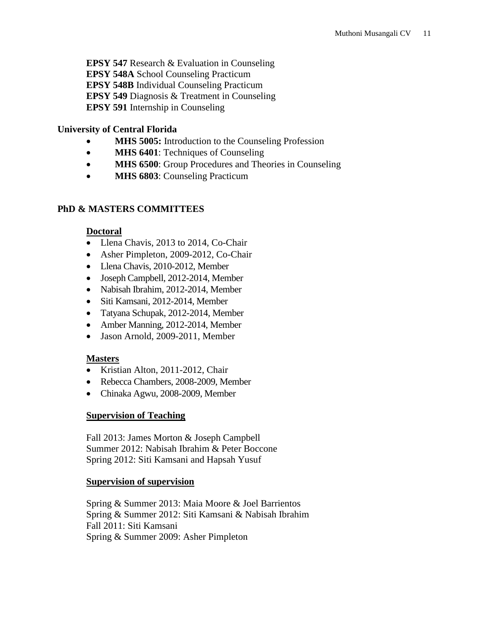**EPSY 547** Research & Evaluation in Counseling **EPSY 548A** School Counseling Practicum **EPSY 548B** Individual Counseling Practicum **EPSY 549** Diagnosis & Treatment in Counseling **EPSY 591** Internship in Counseling

## **University of Central Florida**

- **MHS 5005:** Introduction to the Counseling Profession
- **MHS 6401**: Techniques of Counseling
- **MHS 6500**: Group Procedures and Theories in Counseling
- **MHS 6803**: Counseling Practicum

## **PhD & MASTERS COMMITTEES**

#### **Doctoral**

- Llena Chavis, 2013 to 2014, Co-Chair
- Asher Pimpleton, 2009-2012, Co-Chair
- Llena Chavis, 2010-2012, Member
- Joseph Campbell, 2012-2014, Member
- Nabisah Ibrahim, 2012-2014, Member
- Siti Kamsani, 2012-2014, Member
- Tatyana Schupak, 2012-2014, Member
- Amber Manning, 2012-2014, Member
- Jason Arnold, 2009-2011, Member

## **Masters**

- Kristian Alton, 2011-2012, Chair
- Rebecca Chambers, 2008-2009, Member
- Chinaka Agwu, 2008-2009, Member

## **Supervision of Teaching**

Fall 2013: James Morton & Joseph Campbell Summer 2012: Nabisah Ibrahim & Peter Boccone Spring 2012: Siti Kamsani and Hapsah Yusuf

#### **Supervision of supervision**

Spring & Summer 2013: Maia Moore & Joel Barrientos Spring & Summer 2012: Siti Kamsani & Nabisah Ibrahim Fall 2011: Siti Kamsani Spring & Summer 2009: Asher Pimpleton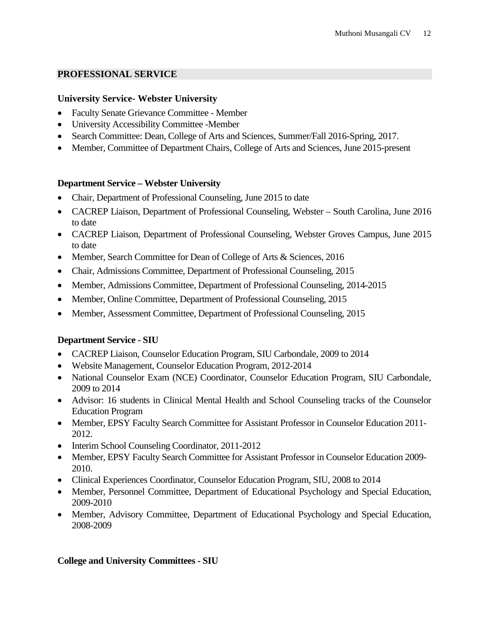#### **PROFESSIONAL SERVICE**

#### **University Service- Webster University**

- Faculty Senate Grievance Committee Member
- University Accessibility Committee -Member
- Search Committee: Dean, College of Arts and Sciences, Summer/Fall 2016-Spring, 2017.
- Member, Committee of Department Chairs, College of Arts and Sciences, June 2015-present

#### **Department Service – Webster University**

- Chair, Department of Professional Counseling, June 2015 to date
- CACREP Liaison, Department of Professional Counseling, Webster South Carolina, June 2016 to date
- CACREP Liaison, Department of Professional Counseling, Webster Groves Campus, June 2015 to date
- Member, Search Committee for Dean of College of Arts & Sciences, 2016
- Chair, Admissions Committee, Department of Professional Counseling, 2015
- Member, Admissions Committee, Department of Professional Counseling, 2014-2015
- Member, Online Committee, Department of Professional Counseling, 2015
- Member, Assessment Committee, Department of Professional Counseling, 2015

## **Department Service - SIU**

- CACREP Liaison, Counselor Education Program, SIU Carbondale, 2009 to 2014
- Website Management, Counselor Education Program, 2012-2014
- National Counselor Exam (NCE) Coordinator, Counselor Education Program, SIU Carbondale, 2009 to 2014
- Advisor: 16 students in Clinical Mental Health and School Counseling tracks of the Counselor Education Program
- Member, EPSY Faculty Search Committee for Assistant Professor in Counselor Education 2011- 2012.
- Interim School Counseling Coordinator, 2011-2012
- Member, EPSY Faculty Search Committee for Assistant Professor in Counselor Education 2009-2010.
- Clinical Experiences Coordinator, Counselor Education Program, SIU, 2008 to 2014
- Member, Personnel Committee, Department of Educational Psychology and Special Education, 2009-2010
- Member, Advisory Committee, Department of Educational Psychology and Special Education, 2008-2009

#### **College and University Committees - SIU**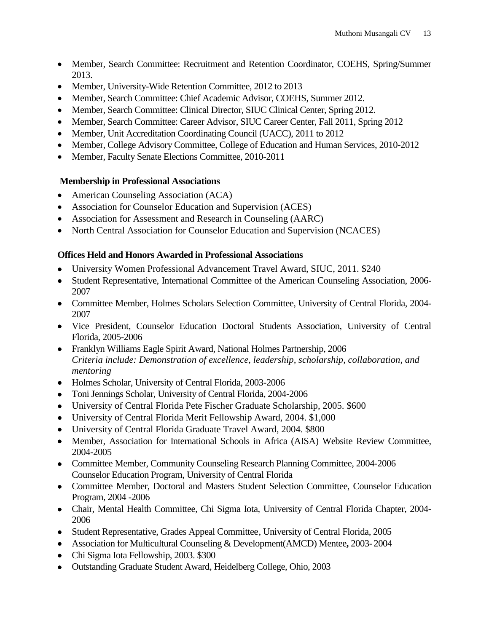- Member, Search Committee: Recruitment and Retention Coordinator, COEHS, Spring/Summer 2013.
- Member, University-Wide Retention Committee, 2012 to 2013
- Member, Search Committee: Chief Academic Advisor, COEHS, Summer 2012.
- Member, Search Committee: Clinical Director, SIUC Clinical Center, Spring 2012.
- Member, Search Committee: Career Advisor, SIUC Career Center, Fall 2011, Spring 2012
- Member, Unit Accreditation Coordinating Council (UACC), 2011 to 2012
- Member, College Advisory Committee, College of Education and Human Services, 2010-2012
- Member, Faculty Senate Elections Committee, 2010-2011

#### **Membership in Professional Associations**

- American Counseling Association (ACA)
- Association for Counselor Education and Supervision (ACES)
- Association for Assessment and Research in Counseling (AARC)
- North Central Association for Counselor Education and Supervision (NCACES)

## **Offices Held and Honors Awarded in Professional Associations**

- University Women Professional Advancement Travel Award, SIUC, 2011. \$240
- Student Representative, International Committee of the American Counseling Association, 2006- 2007
- Committee Member, Holmes Scholars Selection Committee, University of Central Florida, 2004- 2007
- Vice President, Counselor Education Doctoral Students Association, University of Central Florida, 2005-2006
- Franklyn Williams Eagle Spirit Award, National Holmes Partnership, 2006 *Criteria include: Demonstration of excellence, leadership, scholarship, collaboration, and mentoring*
- Holmes Scholar, University of Central Florida, 2003-2006
- Toni Jennings Scholar, University of Central Florida, 2004-2006
- University of Central Florida Pete Fischer Graduate Scholarship, 2005. \$600
- University of Central Florida Merit Fellowship Award, 2004. \$1,000
- University of Central Florida Graduate Travel Award, 2004. \$800
- Member, Association for International Schools in Africa (AISA) Website Review Committee, 2004-2005
- Committee Member, Community Counseling Research Planning Committee, 2004-2006 Counselor Education Program, University of Central Florida
- Committee Member, Doctoral and Masters Student Selection Committee, Counselor Education Program, 2004 -2006
- Chair, Mental Health Committee, Chi Sigma Iota, University of Central Florida Chapter, 2004- 2006
- Student Representative, Grades Appeal Committee, University of Central Florida, 2005
- Association for Multicultural Counseling & Development(AMCD) Mentee**,** 2003- 2004
- Chi Sigma Iota Fellowship, 2003. \$300
- Outstanding Graduate Student Award, Heidelberg College, Ohio, 2003